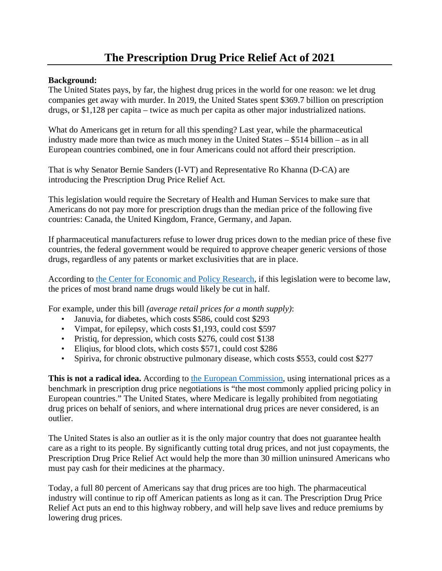# **The Prescription Drug Price Relief Act of 2021**

## **Background:**

The United States pays, by far, the highest drug prices in the world for one reason: we let drug companies get away with murder. In 2019, the United States spent \$369.7 billion on prescription drugs, or \$1,128 per capita – twice as much per capita as other major industrialized nations.

What do Americans get in return for all this spending? Last year, while the pharmaceutical industry made more than twice as much money in the United States – \$514 billion – as in all European countries combined, one in four Americans could not afford their prescription.

That is why Senator Bernie Sanders (I-VT) and Representative Ro Khanna (D-CA) are introducing the Prescription Drug Price Relief Act.

This legislation would require the Secretary of Health and Human Services to make sure that Americans do not pay more for prescription drugs than the median price of the following five countries: Canada, the United Kingdom, France, Germany, and Japan.

If pharmaceutical manufacturers refuse to lower drug prices down to the median price of these five countries, the federal government would be required to approve cheaper generic versions of those drugs, regardless of any patents or market exclusivities that are in place.

According to [the Center for Economic and Policy Research,](https://cepr.net/sanders-khanna-bill-would-stop-monopoly-drug-pricing-in-the-us/) if this legislation were to become law, the prices of most brand name drugs would likely be cut in half.

For example, under this bill *(average retail prices for a month supply)*:

- Januvia, for diabetes, which costs \$586, could cost \$293
- Vimpat, for epilepsy, which costs \$1,193, could cost \$597
- Pristiq, for depression, which costs \$276, could cost \$138
- Eliqius, for blood clots, which costs \$571, could cost \$286
- Spiriva, for chronic obstructive pulmonary disease, which costs \$553, could cost \$277

**This is not a radical idea.** According to [the European Commission,](https://ec.europa.eu/health/sites/health/files/systems_performance_assessment/docs/pharmaproductpricing_frep_en.pdf#page=17) using international prices as a benchmark in prescription drug price negotiations is "the most commonly applied pricing policy in European countries." The United States, where Medicare is legally prohibited from negotiating drug prices on behalf of seniors, and where international drug prices are never considered, is an outlier.

The United States is also an outlier as it is the only major country that does not guarantee health care as a right to its people. By significantly cutting total drug prices, and not just copayments, the Prescription Drug Price Relief Act would help the more than 30 million uninsured Americans who must pay cash for their medicines at the pharmacy.

Today, a full 80 percent of Americans say that drug prices are too high. The pharmaceutical industry will continue to rip off American patients as long as it can. The Prescription Drug Price Relief Act puts an end to this highway robbery, and will help save lives and reduce premiums by lowering drug prices.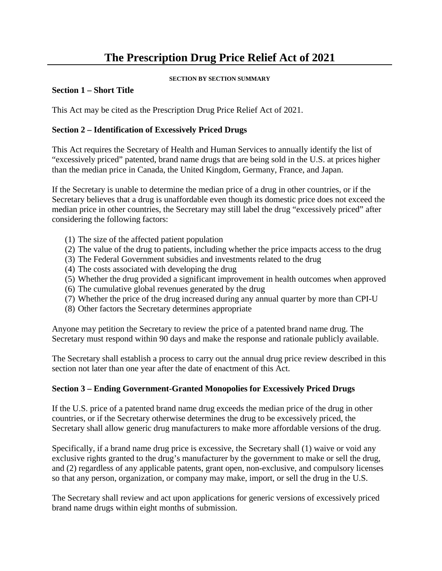# **The Prescription Drug Price Relief Act of 2021**

#### **SECTION BY SECTION SUMMARY**

#### **Section 1 – Short Title**

This Act may be cited as the Prescription Drug Price Relief Act of 2021.

### **Section 2 – Identification of Excessively Priced Drugs**

This Act requires the Secretary of Health and Human Services to annually identify the list of "excessively priced" patented, brand name drugs that are being sold in the U.S. at prices higher than the median price in Canada, the United Kingdom, Germany, France, and Japan.

If the Secretary is unable to determine the median price of a drug in other countries, or if the Secretary believes that a drug is unaffordable even though its domestic price does not exceed the median price in other countries, the Secretary may still label the drug "excessively priced" after considering the following factors:

- (1) The size of the affected patient population
- (2) The value of the drug to patients, including whether the price impacts access to the drug
- (3) The Federal Government subsidies and investments related to the drug
- (4) The costs associated with developing the drug
- (5) Whether the drug provided a significant improvement in health outcomes when approved
- (6) The cumulative global revenues generated by the drug
- (7) Whether the price of the drug increased during any annual quarter by more than CPI-U
- (8) Other factors the Secretary determines appropriate

Anyone may petition the Secretary to review the price of a patented brand name drug. The Secretary must respond within 90 days and make the response and rationale publicly available.

The Secretary shall establish a process to carry out the annual drug price review described in this section not later than one year after the date of enactment of this Act.

#### **Section 3 – Ending Government-Granted Monopolies for Excessively Priced Drugs**

If the U.S. price of a patented brand name drug exceeds the median price of the drug in other countries, or if the Secretary otherwise determines the drug to be excessively priced, the Secretary shall allow generic drug manufacturers to make more affordable versions of the drug.

Specifically, if a brand name drug price is excessive, the Secretary shall (1) waive or void any exclusive rights granted to the drug's manufacturer by the government to make or sell the drug, and (2) regardless of any applicable patents, grant open, non-exclusive, and compulsory licenses so that any person, organization, or company may make, import, or sell the drug in the U.S.

The Secretary shall review and act upon applications for generic versions of excessively priced brand name drugs within eight months of submission.